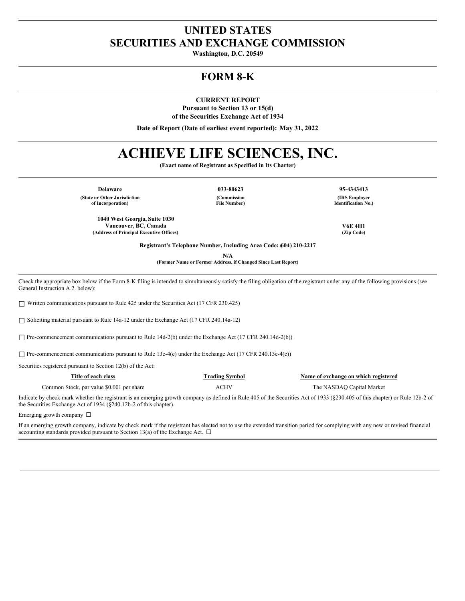# **UNITED STATES SECURITIES AND EXCHANGE COMMISSION**

**Washington, D.C. 20549**

# **FORM 8-K**

**CURRENT REPORT**

**Pursuant to Section 13 or 15(d) of the Securities Exchange Act of 1934**

**Date of Report (Date of earliest event reported): May 31, 2022**

# **ACHIEVE LIFE SCIENCES, INC.**

**(Exact name of Registrant as Specified in Its Charter)**

**Delaware 033-80623 95-4343413 (State or Other Jurisdiction of Incorporation)**

**(Commission File Number)**

**(IRS Employer Identification No.)**

**Vancouver, BC, Canada V6E 4H1**

**Registrant's Telephone Number, Including Area Code: (604) 210-2217**

**N/A**

**(Former Name or Former Address, if Changed Since Last Report)**

Check the appropriate box below if the Form 8-K filing is intended to simultaneously satisfy the filing obligation of the registrant under any of the following provisions (see General Instruction A.2. below):

☐ Written communications pursuant to Rule 425 under the Securities Act (17 CFR 230.425)

**1040 West Georgia, Suite 1030**

**(Address of Principal Executive Offices) (Zip Code)**

☐ Soliciting material pursuant to Rule 14a-12 under the Exchange Act (17 CFR 240.14a-12)

□ Pre-commencement communications pursuant to Rule 14d-2(b) under the Exchange Act (17 CFR 240.14d-2(b))

□ Pre-commencement communications pursuant to Rule 13e-4(c) under the Exchange Act (17 CFR 240.13e-4(c))

Securities registered pursuant to Section 12(b) of the Act:

| Title of each class                       | Trading Symbol | Name of exchange on which registered |
|-------------------------------------------|----------------|--------------------------------------|
| Common Stock, par value \$0.001 per share | ACHV           | The NASDAO Capital Market            |

Indicate by check mark whether the registrant is an emerging growth company as defined in Rule 405 of the Securities Act of 1933 (§230.405 of this chapter) or Rule 12b-2 of the Securities Exchange Act of 1934 (§240.12b-2 of this chapter).

Emerging growth company  $\Box$ 

If an emerging growth company, indicate by check mark if the registrant has elected not to use the extended transition period for complying with any new or revised financial accounting standards provided pursuant to Section 13(a) of the Exchange Act.  $\Box$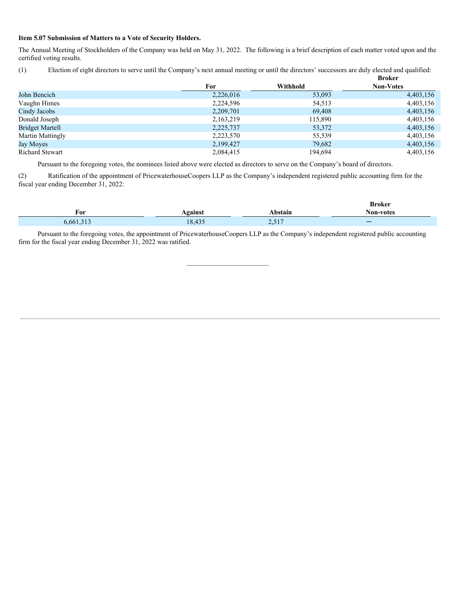#### **Item 5.07 Submission of Matters to a Vote of Security Holders.**

The Annual Meeting of Stockholders of the Company was held on May 31, 2022. The following is a brief description of each matter voted upon and the certified voting results.

(1) Election of eight directors to serve until the Company's next annual meeting or until the directors' successors are duly elected and qualified:

|                         |           |          | <b>Broker</b>    |
|-------------------------|-----------|----------|------------------|
|                         | For       | Withhold | <b>Non-Votes</b> |
| John Bencich            | 2,226,016 | 53,093   | 4,403,156        |
| Vaughn Himes            | 2,224,596 | 54,513   | 4,403,156        |
| Cindy Jacobs            | 2,209,701 | 69,408   | 4,403,156        |
| Donald Joseph           | 2,163,219 | 115,890  | 4,403,156        |
| <b>Bridget Martell</b>  | 2,225,737 | 53,372   | 4,403,156        |
| <b>Martin Mattingly</b> | 2,223,570 | 55,539   | 4,403,156        |
| Jay Moyes               | 2,199,427 | 79,682   | 4,403,156        |
| Richard Stewart         | 2,084,415 | 194,694  | 4,403,156        |

Pursuant to the foregoing votes, the nominees listed above were elected as directors to serve on the Company's board of directors.

(2) Ratification of the appointment of PricewaterhouseCoopers LLP as the Company's independent registered public accounting firm for the fiscal year ending December 31, 2022:

| For     |                                    | bstain     | <b>Broker</b>                              |
|---------|------------------------------------|------------|--------------------------------------------|
| 6.661.3 | <b>\gainst</b><br>18435            | 517        | Non-votes<br>$\overline{\phantom{0}}$<br>_ |
|         | $\sim$ $\sim$ $\sim$ $\sim$ $\sim$ | الل لورسكا |                                            |

Pursuant to the foregoing votes, the appointment of PricewaterhouseCoopers LLP as the Company's independent registered public accounting firm for the fiscal year ending December 31, 2022 was ratified.

 $\mathcal{L}_\text{max}$